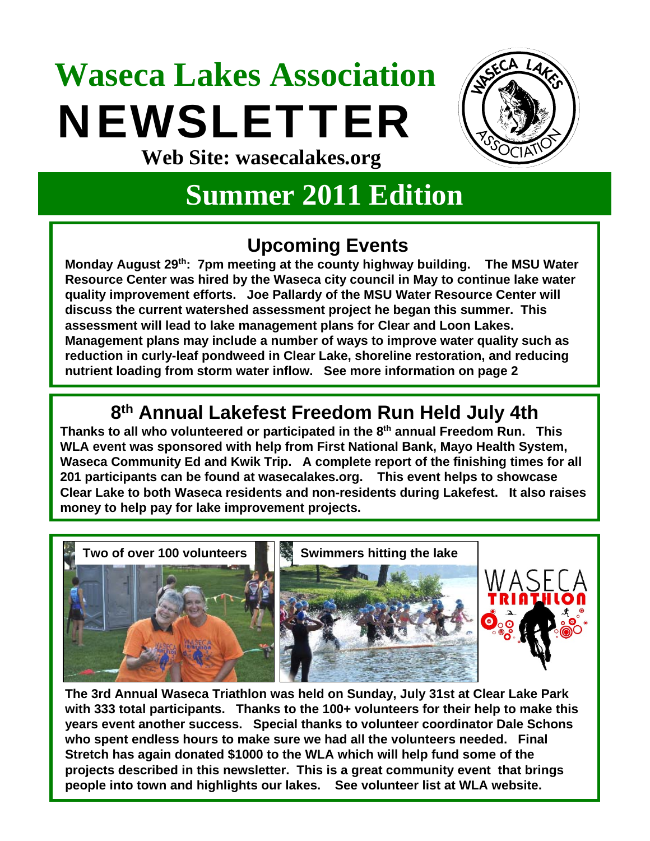## **Waseca Lakes Association**  NEWSLETTER **Web Site: wasecalakes.org**



### **Summer 2011 Edition**

#### **Upcoming Events**

**Monday August 29th: 7pm meeting at the county highway building. The MSU Water Resource Center was hired by the Waseca city council in May to continue lake water quality improvement efforts. Joe Pallardy of the MSU Water Resource Center will discuss the current watershed assessment project he began this summer. This assessment will lead to lake management plans for Clear and Loon Lakes. Management plans may include a number of ways to improve water quality such as reduction in curly-leaf pondweed in Clear Lake, shoreline restoration, and reducing nutrient loading from storm water inflow. See more information on page 2**

#### **8th Annual Lakefest Freedom Run Held July 4th**

**Thanks to all who volunteered or participated in the 8th annual Freedom Run. This WLA event was sponsored with help from First National Bank, Mayo Health System, Waseca Community Ed and Kwik Trip. A complete report of the finishing times for all 201 participants can be found at wasecalakes.org. This event helps to showcase Clear Lake to both Waseca residents and non-residents during Lakefest. It also raises money to help pay for lake improvement projects.**



**The 3rd Annual Waseca Triathlon was held on Sunday, July 31st at Clear Lake Park with 333 total participants. Thanks to the 100+ volunteers for their help to make this years event another success. Special thanks to volunteer coordinator Dale Schons who spent endless hours to make sure we had all the volunteers needed. Final Stretch has again donated \$1000 to the WLA which will help fund some of the projects described in this newsletter. This is a great community event that brings people into town and highlights our lakes. See volunteer list at WLA website.**